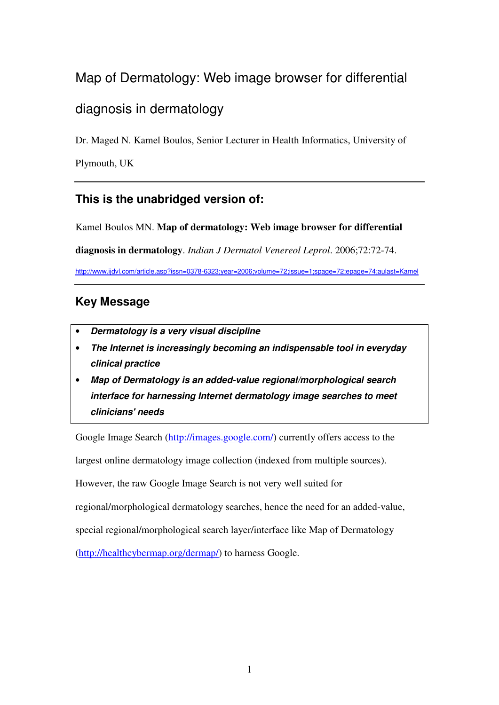# Map of Dermatology: Web image browser for differential diagnosis in dermatology

Dr. Maged N. Kamel Boulos, Senior Lecturer in Health Informatics, University of

Plymouth, UK

# **This is the unabridged version of:**

Kamel Boulos MN. **Map of dermatology: Web image browser for differential** 

**diagnosis in dermatology**. *Indian J Dermatol Venereol Leprol*. 2006;72:72-74.

http://www.ijdvl.com/article.asp?issn=0378-6323;year=2006;volume=72;issue=1;spage=72;epage=74;aulast=Kamel

# **Key Message**

- **Dermatology is a very visual discipline**
- **The Internet is increasingly becoming an indispensable tool in everyday clinical practice**
- **Map of Dermatology is an added-value regional/morphological search interface for harnessing Internet dermatology image searches to meet clinicians' needs**

Google Image Search (http://images.google.com/) currently offers access to the

largest online dermatology image collection (indexed from multiple sources).

However, the raw Google Image Search is not very well suited for

regional/morphological dermatology searches, hence the need for an added-value,

special regional/morphological search layer/interface like Map of Dermatology

(http://healthcybermap.org/dermap/) to harness Google.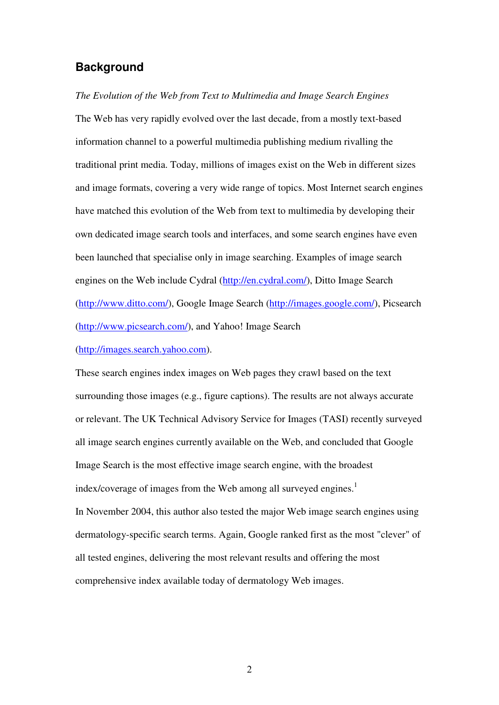## **Background**

*The Evolution of the Web from Text to Multimedia and Image Search Engines*  The Web has very rapidly evolved over the last decade, from a mostly text-based information channel to a powerful multimedia publishing medium rivalling the traditional print media. Today, millions of images exist on the Web in different sizes and image formats, covering a very wide range of topics. Most Internet search engines have matched this evolution of the Web from text to multimedia by developing their own dedicated image search tools and interfaces, and some search engines have even been launched that specialise only in image searching. Examples of image search engines on the Web include Cydral (http://en.cydral.com/), Ditto Image Search (http://www.ditto.com/), Google Image Search (http://images.google.com/), Picsearch (http://www.picsearch.com/), and Yahoo! Image Search

(http://images.search.yahoo.com).

These search engines index images on Web pages they crawl based on the text surrounding those images (e.g., figure captions). The results are not always accurate or relevant. The UK Technical Advisory Service for Images (TASI) recently surveyed all image search engines currently available on the Web, and concluded that Google Image Search is the most effective image search engine, with the broadest index/coverage of images from the Web among all surveyed engines.<sup>1</sup> In November 2004, this author also tested the major Web image search engines using dermatology-specific search terms. Again, Google ranked first as the most "clever" of all tested engines, delivering the most relevant results and offering the most comprehensive index available today of dermatology Web images.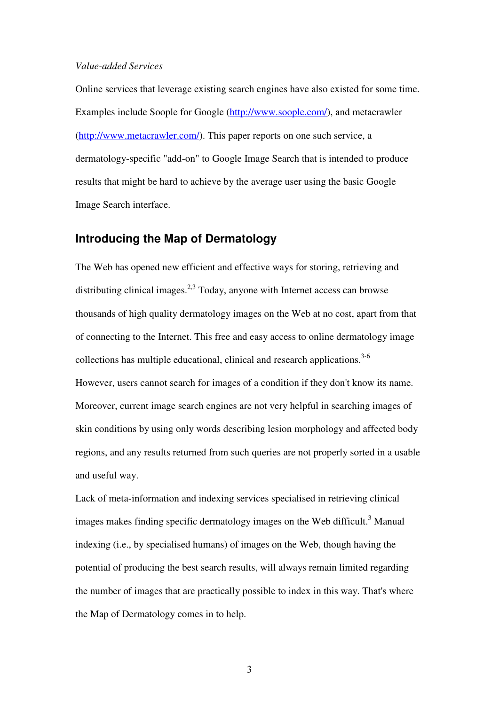#### *Value-added Services*

Online services that leverage existing search engines have also existed for some time. Examples include Soople for Google (http://www.soople.com/), and metacrawler (http://www.metacrawler.com/). This paper reports on one such service, a dermatology-specific "add-on" to Google Image Search that is intended to produce results that might be hard to achieve by the average user using the basic Google Image Search interface.

## **Introducing the Map of Dermatology**

The Web has opened new efficient and effective ways for storing, retrieving and distributing clinical images.<sup>2,3</sup> Today, anyone with Internet access can browse thousands of high quality dermatology images on the Web at no cost, apart from that of connecting to the Internet. This free and easy access to online dermatology image collections has multiple educational, clinical and research applications. $3-6$ However, users cannot search for images of a condition if they don't know its name. Moreover, current image search engines are not very helpful in searching images of skin conditions by using only words describing lesion morphology and affected body regions, and any results returned from such queries are not properly sorted in a usable and useful way.

Lack of meta-information and indexing services specialised in retrieving clinical images makes finding specific dermatology images on the Web difficult.<sup>3</sup> Manual indexing (i.e., by specialised humans) of images on the Web, though having the potential of producing the best search results, will always remain limited regarding the number of images that are practically possible to index in this way. That's where the Map of Dermatology comes in to help.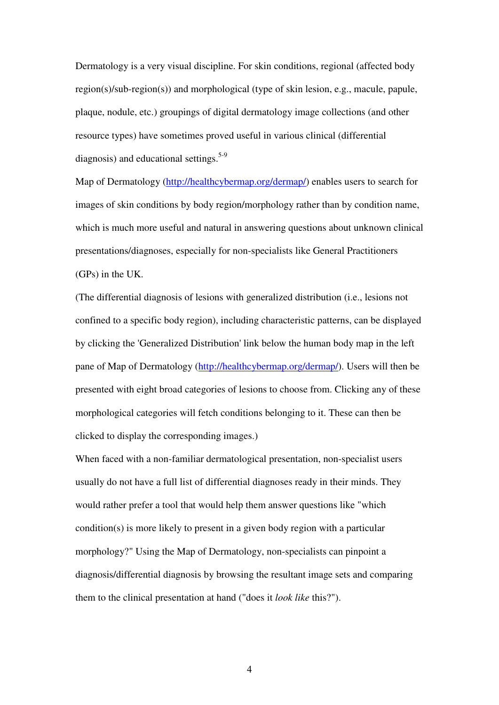Dermatology is a very visual discipline. For skin conditions, regional (affected body region(s)/sub-region(s)) and morphological (type of skin lesion, e.g., macule, papule, plaque, nodule, etc.) groupings of digital dermatology image collections (and other resource types) have sometimes proved useful in various clinical (differential diagnosis) and educational settings.<sup>5-9</sup>

Map of Dermatology (http://healthcybermap.org/dermap/) enables users to search for images of skin conditions by body region/morphology rather than by condition name, which is much more useful and natural in answering questions about unknown clinical presentations/diagnoses, especially for non-specialists like General Practitioners (GPs) in the UK.

(The differential diagnosis of lesions with generalized distribution (i.e., lesions not confined to a specific body region), including characteristic patterns, can be displayed by clicking the 'Generalized Distribution' link below the human body map in the left pane of Map of Dermatology (http://healthcybermap.org/dermap/). Users will then be presented with eight broad categories of lesions to choose from. Clicking any of these morphological categories will fetch conditions belonging to it. These can then be clicked to display the corresponding images.)

When faced with a non-familiar dermatological presentation, non-specialist users usually do not have a full list of differential diagnoses ready in their minds. They would rather prefer a tool that would help them answer questions like "which condition(s) is more likely to present in a given body region with a particular morphology?" Using the Map of Dermatology, non-specialists can pinpoint a diagnosis/differential diagnosis by browsing the resultant image sets and comparing them to the clinical presentation at hand ("does it *look like* this?").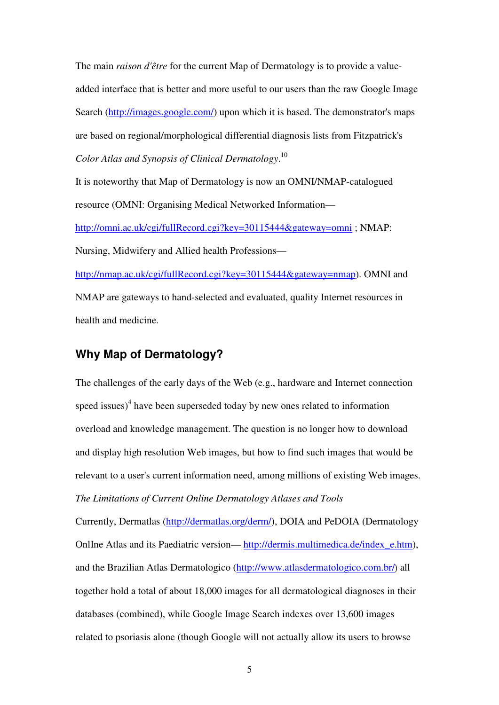The main *raison d'être* for the current Map of Dermatology is to provide a valueadded interface that is better and more useful to our users than the raw Google Image Search (http://images.google.com/) upon which it is based. The demonstrator's maps are based on regional/morphological differential diagnosis lists from Fitzpatrick's *Color Atlas and Synopsis of Clinical Dermatology*. 10

It is noteworthy that Map of Dermatology is now an OMNI/NMAP-catalogued resource (OMNI: Organising Medical Networked Information—

http://omni.ac.uk/cgi/fullRecord.cgi?key=30115444&gateway=omni ; NMAP: Nursing, Midwifery and Allied health Professions—

http://nmap.ac.uk/cgi/fullRecord.cgi?key=30115444&gateway=nmap). OMNI and NMAP are gateways to hand-selected and evaluated, quality Internet resources in health and medicine.

# **Why Map of Dermatology?**

The challenges of the early days of the Web (e.g., hardware and Internet connection speed issues) $4$  have been superseded today by new ones related to information overload and knowledge management. The question is no longer how to download and display high resolution Web images, but how to find such images that would be relevant to a user's current information need, among millions of existing Web images. *The Limitations of Current Online Dermatology Atlases and Tools* 

Currently, Dermatlas (http://dermatlas.org/derm/), DOIA and PeDOIA (Dermatology OnlIne Atlas and its Paediatric version— http://dermis.multimedica.de/index\_e.htm), and the Brazilian Atlas Dermatologico (http://www.atlasdermatologico.com.br/) all together hold a total of about 18,000 images for all dermatological diagnoses in their databases (combined), while Google Image Search indexes over 13,600 images related to psoriasis alone (though Google will not actually allow its users to browse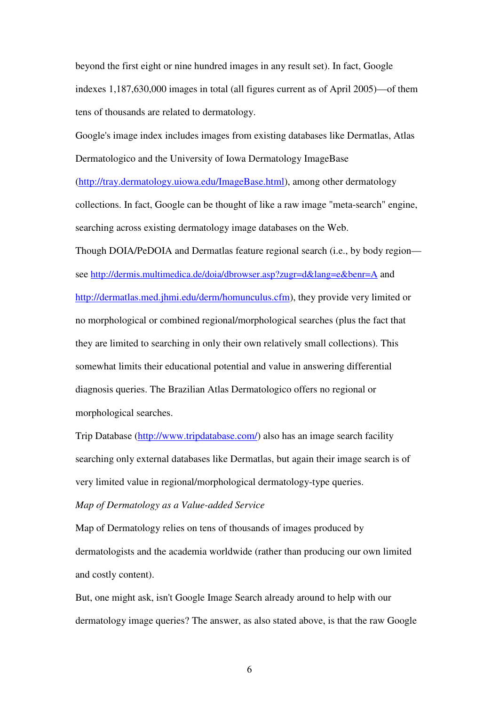beyond the first eight or nine hundred images in any result set). In fact, Google indexes 1,187,630,000 images in total (all figures current as of April 2005)—of them tens of thousands are related to dermatology.

Google's image index includes images from existing databases like Dermatlas, Atlas Dermatologico and the University of Iowa Dermatology ImageBase (http://tray.dermatology.uiowa.edu/ImageBase.html), among other dermatology collections. In fact, Google can be thought of like a raw image "meta-search" engine, searching across existing dermatology image databases on the Web.

Though DOIA/PeDOIA and Dermatlas feature regional search (i.e., by body region see http://dermis.multimedica.de/doia/dbrowser.asp?zugr=d&lang=e&benr=A and http://dermatlas.med.jhmi.edu/derm/homunculus.cfm), they provide very limited or no morphological or combined regional/morphological searches (plus the fact that they are limited to searching in only their own relatively small collections). This somewhat limits their educational potential and value in answering differential diagnosis queries. The Brazilian Atlas Dermatologico offers no regional or morphological searches.

Trip Database (http://www.tripdatabase.com/) also has an image search facility searching only external databases like Dermatlas, but again their image search is of very limited value in regional/morphological dermatology-type queries.

*Map of Dermatology as a Value-added Service* 

Map of Dermatology relies on tens of thousands of images produced by dermatologists and the academia worldwide (rather than producing our own limited and costly content).

But, one might ask, isn't Google Image Search already around to help with our dermatology image queries? The answer, as also stated above, is that the raw Google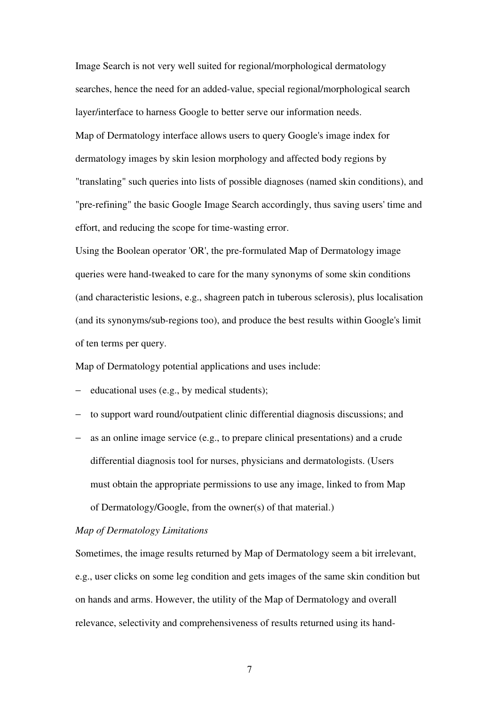Image Search is not very well suited for regional/morphological dermatology searches, hence the need for an added-value, special regional/morphological search layer/interface to harness Google to better serve our information needs. Map of Dermatology interface allows users to query Google's image index for dermatology images by skin lesion morphology and affected body regions by "translating" such queries into lists of possible diagnoses (named skin conditions), and "pre-refining" the basic Google Image Search accordingly, thus saving users' time and effort, and reducing the scope for time-wasting error.

Using the Boolean operator 'OR', the pre-formulated Map of Dermatology image queries were hand-tweaked to care for the many synonyms of some skin conditions (and characteristic lesions, e.g., shagreen patch in tuberous sclerosis), plus localisation (and its synonyms/sub-regions too), and produce the best results within Google's limit of ten terms per query.

Map of Dermatology potential applications and uses include:

- − educational uses (e.g., by medical students);
- − to support ward round/outpatient clinic differential diagnosis discussions; and
- − as an online image service (e.g., to prepare clinical presentations) and a crude differential diagnosis tool for nurses, physicians and dermatologists. (Users must obtain the appropriate permissions to use any image, linked to from Map of Dermatology/Google, from the owner(s) of that material.)

#### *Map of Dermatology Limitations*

Sometimes, the image results returned by Map of Dermatology seem a bit irrelevant, e.g., user clicks on some leg condition and gets images of the same skin condition but on hands and arms. However, the utility of the Map of Dermatology and overall relevance, selectivity and comprehensiveness of results returned using its hand-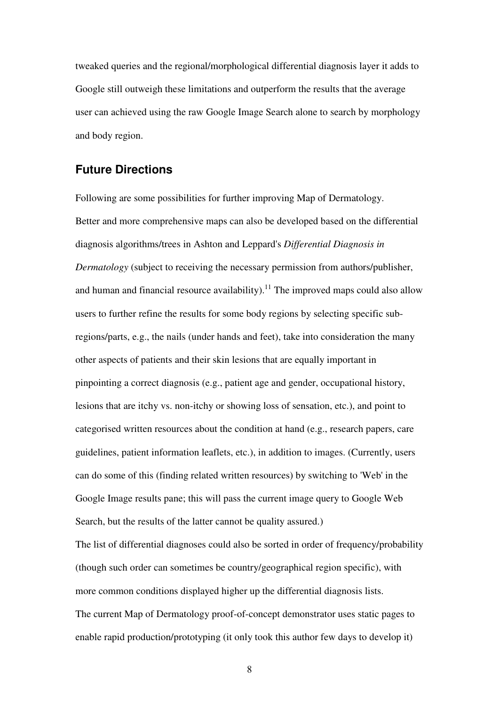tweaked queries and the regional/morphological differential diagnosis layer it adds to Google still outweigh these limitations and outperform the results that the average user can achieved using the raw Google Image Search alone to search by morphology and body region.

## **Future Directions**

Following are some possibilities for further improving Map of Dermatology. Better and more comprehensive maps can also be developed based on the differential diagnosis algorithms/trees in Ashton and Leppard's *Differential Diagnosis in Dermatology* (subject to receiving the necessary permission from authors/publisher, and human and financial resource availability).<sup>11</sup> The improved maps could also allow users to further refine the results for some body regions by selecting specific subregions/parts, e.g., the nails (under hands and feet), take into consideration the many other aspects of patients and their skin lesions that are equally important in pinpointing a correct diagnosis (e.g., patient age and gender, occupational history, lesions that are itchy vs. non-itchy or showing loss of sensation, etc.), and point to categorised written resources about the condition at hand (e.g., research papers, care guidelines, patient information leaflets, etc.), in addition to images. (Currently, users can do some of this (finding related written resources) by switching to 'Web' in the Google Image results pane; this will pass the current image query to Google Web Search, but the results of the latter cannot be quality assured.)

The list of differential diagnoses could also be sorted in order of frequency/probability (though such order can sometimes be country/geographical region specific), with more common conditions displayed higher up the differential diagnosis lists. The current Map of Dermatology proof-of-concept demonstrator uses static pages to enable rapid production/prototyping (it only took this author few days to develop it)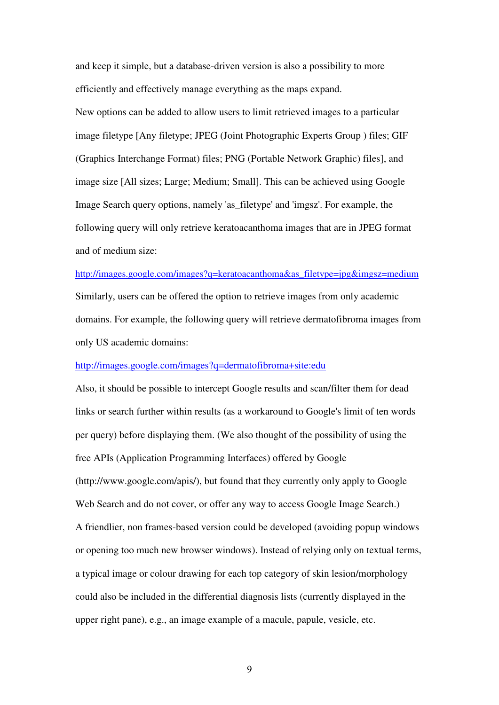and keep it simple, but a database-driven version is also a possibility to more efficiently and effectively manage everything as the maps expand. New options can be added to allow users to limit retrieved images to a particular image filetype [Any filetype; JPEG (Joint Photographic Experts Group ) files; GIF (Graphics Interchange Format) files; PNG (Portable Network Graphic) files], and image size [All sizes; Large; Medium; Small]. This can be achieved using Google Image Search query options, namely 'as\_filetype' and 'imgsz'. For example, the following query will only retrieve keratoacanthoma images that are in JPEG format and of medium size:

#### http://images.google.com/images?q=keratoacanthoma&as\_filetype=jpg&imgsz=medium

Similarly, users can be offered the option to retrieve images from only academic domains. For example, the following query will retrieve dermatofibroma images from only US academic domains:

### http://images.google.com/images?q=dermatofibroma+site:edu

Also, it should be possible to intercept Google results and scan/filter them for dead links or search further within results (as a workaround to Google's limit of ten words per query) before displaying them. (We also thought of the possibility of using the free APIs (Application Programming Interfaces) offered by Google (http://www.google.com/apis/), but found that they currently only apply to Google Web Search and do not cover, or offer any way to access Google Image Search.) A friendlier, non frames-based version could be developed (avoiding popup windows or opening too much new browser windows). Instead of relying only on textual terms, a typical image or colour drawing for each top category of skin lesion/morphology could also be included in the differential diagnosis lists (currently displayed in the upper right pane), e.g., an image example of a macule, papule, vesicle, etc.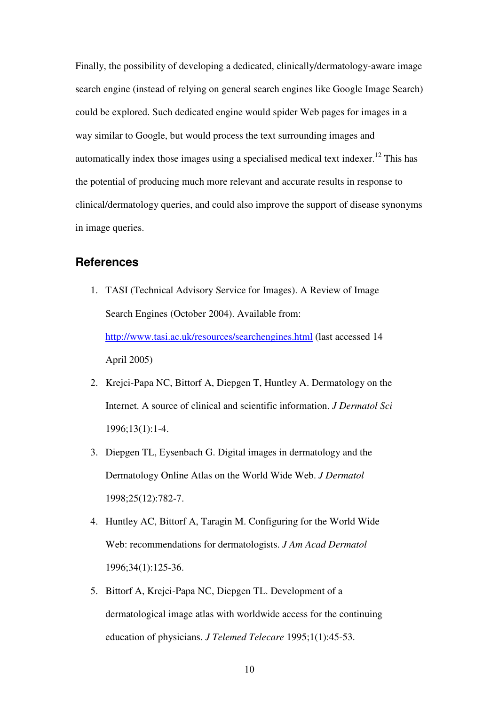Finally, the possibility of developing a dedicated, clinically/dermatology-aware image search engine (instead of relying on general search engines like Google Image Search) could be explored. Such dedicated engine would spider Web pages for images in a way similar to Google, but would process the text surrounding images and automatically index those images using a specialised medical text indexer. <sup>12</sup> This has the potential of producing much more relevant and accurate results in response to clinical/dermatology queries, and could also improve the support of disease synonyms in image queries.

# **References**

- 1. TASI (Technical Advisory Service for Images). A Review of Image Search Engines (October 2004). Available from: http://www.tasi.ac.uk/resources/searchengines.html (last accessed 14 April 2005)
- 2. Krejci-Papa NC, Bittorf A, Diepgen T, Huntley A. Dermatology on the Internet. A source of clinical and scientific information. *J Dermatol Sci* 1996;13(1):1-4.
- 3. Diepgen TL, Eysenbach G. Digital images in dermatology and the Dermatology Online Atlas on the World Wide Web. *J Dermatol* 1998;25(12):782-7.
- 4. Huntley AC, Bittorf A, Taragin M. Configuring for the World Wide Web: recommendations for dermatologists. *J Am Acad Dermatol* 1996;34(1):125-36.
- 5. Bittorf A, Krejci-Papa NC, Diepgen TL. Development of a dermatological image atlas with worldwide access for the continuing education of physicians. *J Telemed Telecare* 1995;1(1):45-53.